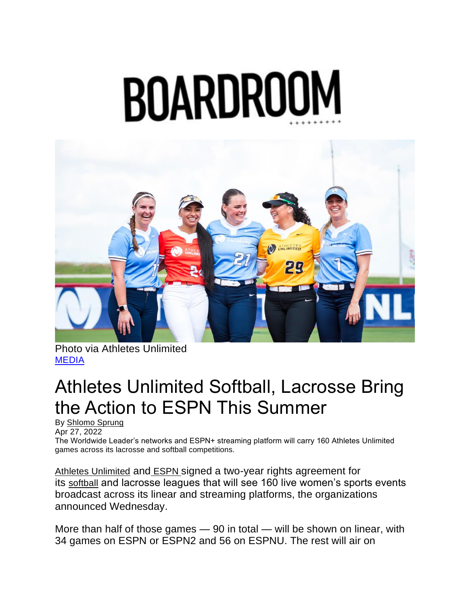## BOARDROO



Photo via Athletes Unlimited [MEDIA](https://boardroom.tv/category/media/)

## Athletes Unlimited Softball, Lacrosse Bring the Action to ESPN This Summer

By [Shlomo Sprung](https://boardroom.tv/author/shlomo-sprung/) Apr 27, 2022

The Worldwide Leader's networks and ESPN+ streaming platform will carry 160 Athletes Unlimited games across its lacrosse and softball competitions.

[Athletes Unlimited](https://boardroom.tv/athletes-unlimited-public-benefit-corporation/) and [ESPN](https://boardroom.tv/tag/espn/) signed a two-year rights agreement for its [softball](https://auprosports.com/leaderboard/?season=4) and lacrosse leagues that will see 160 live women's sports events broadcast across its linear and streaming platforms, the organizations announced Wednesday.

More than half of those games — 90 in total — will be shown on linear, with 34 games on ESPN or ESPN2 and 56 on ESPNU. The rest will air on